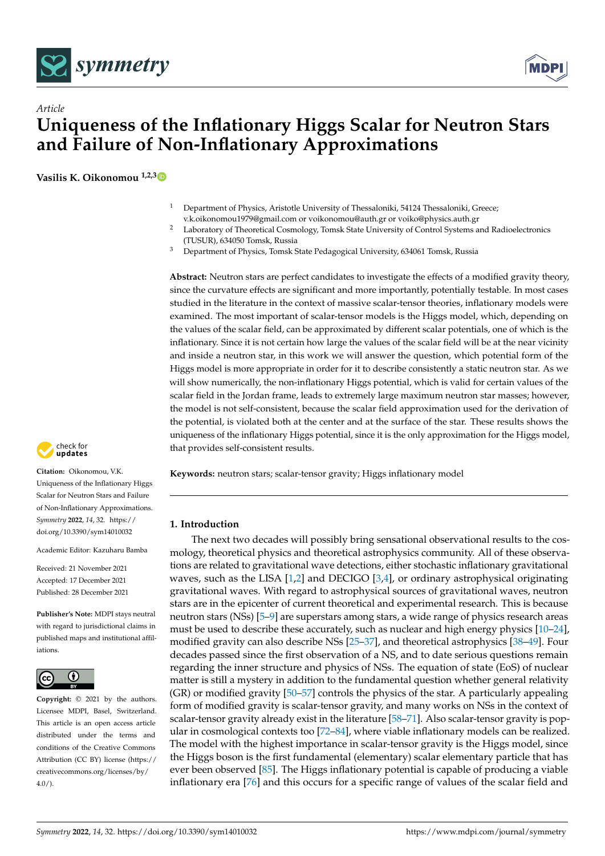



# *Article* **Uniqueness of the Inflationary Higgs Scalar for Neutron Stars and Failure of Non-Inflationary Approximations**

**Vasilis K. Oikonomou 1,2,[3](https://orcid.org/0000-0003-0125-4160)**

- <sup>1</sup> Department of Physics, Aristotle University of Thessaloniki, 54124 Thessaloniki, Greece; v.k.oikonomou1979@gmail.com or voikonomou@auth.gr or voiko@physics.auth.gr
- <sup>2</sup> Laboratory of Theoretical Cosmology, Tomsk State University of Control Systems and Radioelectronics (TUSUR), 634050 Tomsk, Russia
- <sup>3</sup> Department of Physics, Tomsk State Pedagogical University, 634061 Tomsk, Russia

**Abstract:** Neutron stars are perfect candidates to investigate the effects of a modified gravity theory, since the curvature effects are significant and more importantly, potentially testable. In most cases studied in the literature in the context of massive scalar-tensor theories, inflationary models were examined. The most important of scalar-tensor models is the Higgs model, which, depending on the values of the scalar field, can be approximated by different scalar potentials, one of which is the inflationary. Since it is not certain how large the values of the scalar field will be at the near vicinity and inside a neutron star, in this work we will answer the question, which potential form of the Higgs model is more appropriate in order for it to describe consistently a static neutron star. As we will show numerically, the non-inflationary Higgs potential, which is valid for certain values of the scalar field in the Jordan frame, leads to extremely large maximum neutron star masses; however, the model is not self-consistent, because the scalar field approximation used for the derivation of the potential, is violated both at the center and at the surface of the star. These results shows the uniqueness of the inflationary Higgs potential, since it is the only approximation for the Higgs model, that provides self-consistent results.

**Keywords:** neutron stars; scalar-tensor gravity; Higgs inflationary model

#### **1. Introduction**

The next two decades will possibly bring sensational observational results to the cosmology, theoretical physics and theoretical astrophysics community. All of these observations are related to gravitational wave detections, either stochastic inflationary gravitational waves, such as the LISA  $[1,2]$  $[1,2]$  and DECIGO  $[3,4]$  $[3,4]$ , or ordinary astrophysical originating gravitational waves. With regard to astrophysical sources of gravitational waves, neutron stars are in the epicenter of current theoretical and experimental research. This is because neutron stars (NSs) [\[5–](#page-5-4)[9\]](#page-6-0) are superstars among stars, a wide range of physics research areas must be used to describe these accurately, such as nuclear and high energy physics [\[10–](#page-6-1)[24\]](#page-6-2), modified gravity can also describe NSs [\[25–](#page-6-3)[37\]](#page-7-0), and theoretical astrophysics [\[38–](#page-7-1)[49\]](#page-7-2). Four decades passed since the first observation of a NS, and to date serious questions remain regarding the inner structure and physics of NSs. The equation of state (EoS) of nuclear matter is still a mystery in addition to the fundamental question whether general relativity (GR) or modified gravity [\[50](#page-7-3)[–57\]](#page-7-4) controls the physics of the star. A particularly appealing form of modified gravity is scalar-tensor gravity, and many works on NSs in the context of scalar-tensor gravity already exist in the literature [\[58](#page-7-5)[–71\]](#page-8-0). Also scalar-tensor gravity is popular in cosmological contexts too [\[72](#page-8-1)[–84\]](#page-8-2), where viable inflationary models can be realized. The model with the highest importance in scalar-tensor gravity is the Higgs model, since the Higgs boson is the first fundamental (elementary) scalar elementary particle that has ever been observed [\[85\]](#page-8-3). The Higgs inflationary potential is capable of producing a viable inflationary era [\[76\]](#page-8-4) and this occurs for a specific range of values of the scalar field and



**Citation:** Oikonomou, V.K. Uniqueness of the Inflationary Higgs Scalar for Neutron Stars and Failure of Non-Inflationary Approximations. *Symmetry* **2022**, *14*, 32. [https://](https://doi.org/10.3390/sym14010032) [doi.org/10.3390/sym14010032](https://doi.org/10.3390/sym14010032)

Academic Editor: Kazuharu Bamba

Received: 21 November 2021 Accepted: 17 December 2021 Published: 28 December 2021

**Publisher's Note:** MDPI stays neutral with regard to jurisdictional claims in published maps and institutional affiliations.



**Copyright:** © 2021 by the authors. Licensee MDPI, Basel, Switzerland. This article is an open access article distributed under the terms and conditions of the Creative Commons Attribution (CC BY) license (https:/[/](https://creativecommons.org/licenses/by/4.0/) [creativecommons.org/licenses/by/](https://creativecommons.org/licenses/by/4.0/)  $4.0/$ ).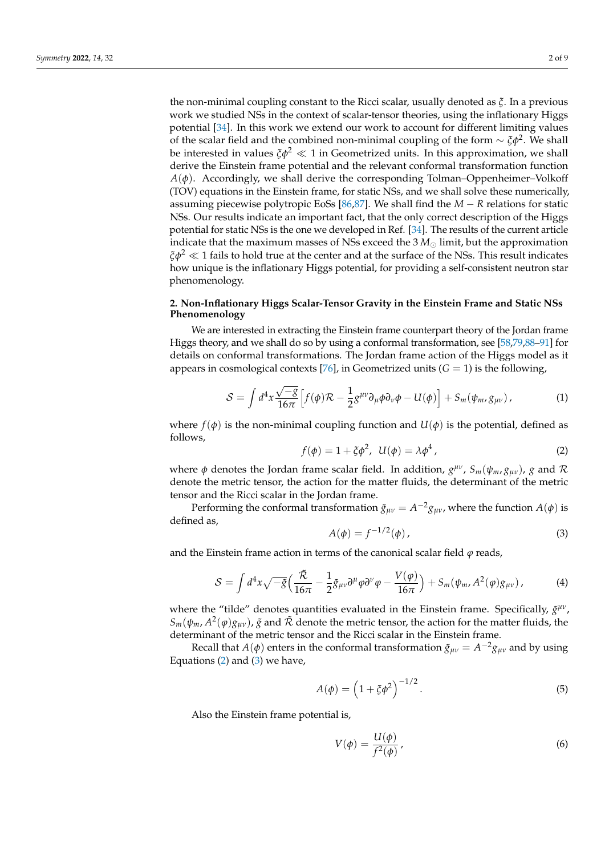work we studied NSs in the context of scalar-tensor theories, using the inflationary Higgs potential [\[34\]](#page-6-4). In this work we extend our work to account for different limiting values of the scalar field and the combined non-minimal coupling of the form  $\sim \xi \phi^2$ . We shall be interested in values  $\zeta \phi^2 \ll 1$  in Geometrized units. In this approximation, we shall derive the Einstein frame potential and the relevant conformal transformation function  $A(\phi)$ . Accordingly, we shall derive the corresponding Tolman–Oppenheimer–Volkoff (TOV) equations in the Einstein frame, for static NSs, and we shall solve these numerically, assuming piecewise polytropic EoSs [\[86](#page-8-5)[,87\]](#page-8-6). We shall find the *M* − *R* relations for static NSs. Our results indicate an important fact, that the only correct description of the Higgs potential for static NSs is the one we developed in Ref. [\[34\]](#page-6-4). The results of the current article indicate that the maximum masses of NSs exceed the  $3 M_{\odot}$  limit, but the approximation  $\xi \phi^2 \ll 1$  fails to hold true at the center and at the surface of the NSs. This result indicates how unique is the inflationary Higgs potential, for providing a self-consistent neutron star phenomenology.

## **2. Non-Inflationary Higgs Scalar-Tensor Gravity in the Einstein Frame and Static NSs Phenomenology**

We are interested in extracting the Einstein frame counterpart theory of the Jordan frame Higgs theory, and we shall do so by using a conformal transformation, see [\[58,](#page-7-5)[79,](#page-8-7)[88–](#page-8-8)[91\]](#page-8-9) for details on conformal transformations. The Jordan frame action of the Higgs model as it appears in cosmological contexts [\[76\]](#page-8-4), in Geometrized units  $(G = 1)$  is the following,

$$
S = \int d^4x \frac{\sqrt{-g}}{16\pi} \left[ f(\phi) \mathcal{R} - \frac{1}{2} g^{\mu\nu} \partial_\mu \phi \partial_\nu \phi - U(\phi) \right] + S_m(\psi_m, g_{\mu\nu}), \tag{1}
$$

where  $f(\phi)$  is the non-minimal coupling function and  $U(\phi)$  is the potential, defined as follows,

<span id="page-1-0"></span>
$$
f(\phi) = 1 + \xi \phi^2, \ \ U(\phi) = \lambda \phi^4,
$$
 (2)

where *φ* denotes the Jordan frame scalar field. In addition, *g µν* , *Sm*(*ψm*, *gµν*), *g* and R denote the metric tensor, the action for the matter fluids, the determinant of the metric tensor and the Ricci scalar in the Jordan frame.

Performing the conformal transformation  $\tilde{g}_{\mu\nu} = A^{-2}g_{\mu\nu}$ , where the function  $A(\phi)$  is defined as,

<span id="page-1-1"></span>
$$
A(\phi) = f^{-1/2}(\phi),
$$
 (3)

and the Einstein frame action in terms of the canonical scalar field  $\varphi$  reads,

$$
S = \int d^4x \sqrt{-\tilde{g}} \Big( \frac{\tilde{\mathcal{R}}}{16\pi} - \frac{1}{2} \tilde{g}_{\mu\nu} \partial^{\mu} \varphi \partial^{\nu} \varphi - \frac{V(\varphi)}{16\pi} \Big) + S_m(\psi_m, A^2(\varphi) g_{\mu\nu}), \tag{4}
$$

where the "tilde" denotes quantities evaluated in the Einstein frame. Specifically,  $\tilde{g}^{\mu\nu}$ ,  $S_m(\psi_m, A^2(\varphi)g_{\mu\nu})$ ,  $\tilde{g}$  and  $\tilde{\mathcal{R}}$  denote the metric tensor, the action for the matter fluids, the determinant of the metric tensor and the Ricci scalar in the Einstein frame.

Recall that  $A(\phi)$  enters in the conformal transformation  $\tilde{g}_{\mu\nu} = A^{-2}g_{\mu\nu}$  and by using Equations  $(2)$  and  $(3)$  we have,

$$
A(\phi) = \left(1 + \xi \phi^2\right)^{-1/2}.\tag{5}
$$

Also the Einstein frame potential is,

$$
V(\phi) = \frac{U(\phi)}{f^2(\phi)},
$$
\n(6)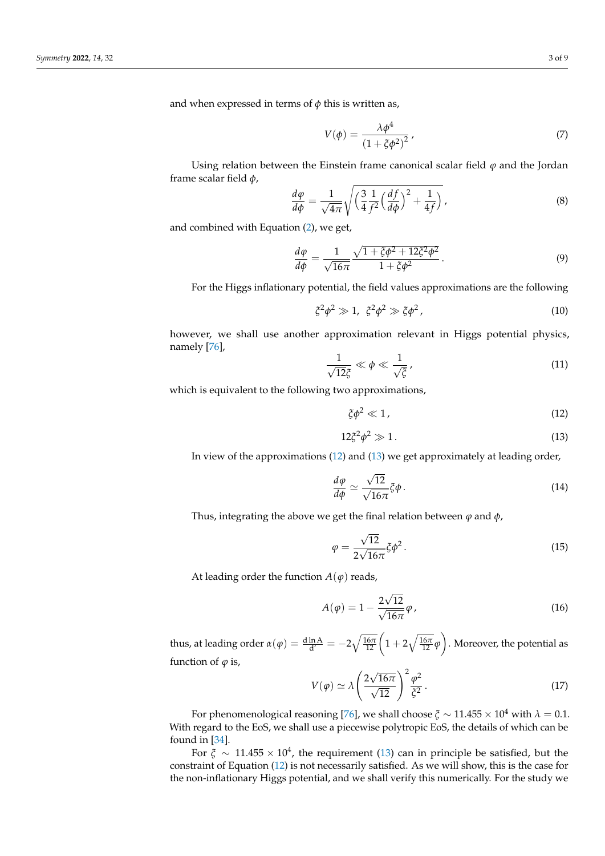and when expressed in terms of  $\phi$  this is written as,

$$
V(\phi) = \frac{\lambda \phi^4}{\left(1 + \xi \phi^2\right)^2},\tag{7}
$$

Using relation between the Einstein frame canonical scalar field  $\varphi$  and the Jordan frame scalar field *φ*,

$$
\frac{d\varphi}{d\phi} = \frac{1}{\sqrt{4\pi}} \sqrt{\left(\frac{3}{4}\frac{1}{f^2}\left(\frac{df}{d\phi}\right)^2 + \frac{1}{4f}\right)},\tag{8}
$$

and combined with Equation [\(2\)](#page-1-0), we get,

$$
\frac{d\varphi}{d\phi} = \frac{1}{\sqrt{16\pi}} \frac{\sqrt{1 + \xi \phi^2 + 12\xi^2 \phi^2}}{1 + \xi \phi^2}.
$$
\n(9)

For the Higgs inflationary potential, the field values approximations are the following

$$
\xi^2 \phi^2 \gg 1, \ \xi^2 \phi^2 \gg \xi \phi^2, \tag{10}
$$

however, we shall use another approximation relevant in Higgs potential physics, namely [\[76\]](#page-8-4),

$$
\frac{1}{\sqrt{12}\xi} \ll \phi \ll \frac{1}{\sqrt{\xi}},\tag{11}
$$

which is equivalent to the following two approximations,

<span id="page-2-0"></span>
$$
\xi \phi^2 \ll 1 \tag{12}
$$

<span id="page-2-1"></span>
$$
12\xi^2\phi^2 \gg 1. \tag{13}
$$

In view of the approximations [\(12\)](#page-2-0) and [\(13\)](#page-2-1) we get approximately at leading order,

$$
\frac{d\varphi}{d\phi} \simeq \frac{\sqrt{12}}{\sqrt{16\pi}} \xi \phi \,. \tag{14}
$$

Thus, integrating the above we get the final relation between  $\varphi$  and  $\varphi$ ,

$$
\varphi = \frac{\sqrt{12}}{2\sqrt{16\pi}} \xi \phi^2. \tag{15}
$$

At leading order the function  $A(\varphi)$  reads,

$$
A(\varphi) = 1 - \frac{2\sqrt{12}}{\sqrt{16\pi}}\varphi,\tag{16}
$$

thus, at leading order  $\alpha(\varphi) = \frac{{\rm d}\ln {\rm A}}{{\rm d}^\prime} = -2\sqrt{\frac{16\pi}{12}}\Big(1+2\sqrt{\frac{16\pi}{12}}\varphi$  . Moreover, the potential as function of  $\varphi$  is,

$$
V(\varphi) \simeq \lambda \left(\frac{2\sqrt{16\pi}}{\sqrt{12}}\right)^2 \frac{\varphi^2}{\xi^2}.
$$
 (17)

For phenomenological reasoning [\[76\]](#page-8-4), we shall choose  $\zeta \sim 11.455 \times 10^4$  with  $\lambda = 0.1$ . With regard to the EoS, we shall use a piecewise polytropic EoS, the details of which can be found in [\[34\]](#page-6-4).

For  $\xi \sim 11.455 \times 10^4$ , the requirement [\(13\)](#page-2-1) can in principle be satisfied, but the constraint of Equation [\(12\)](#page-2-0) is not necessarily satisfied. As we will show, this is the case for the non-inflationary Higgs potential, and we shall verify this numerically. For the study we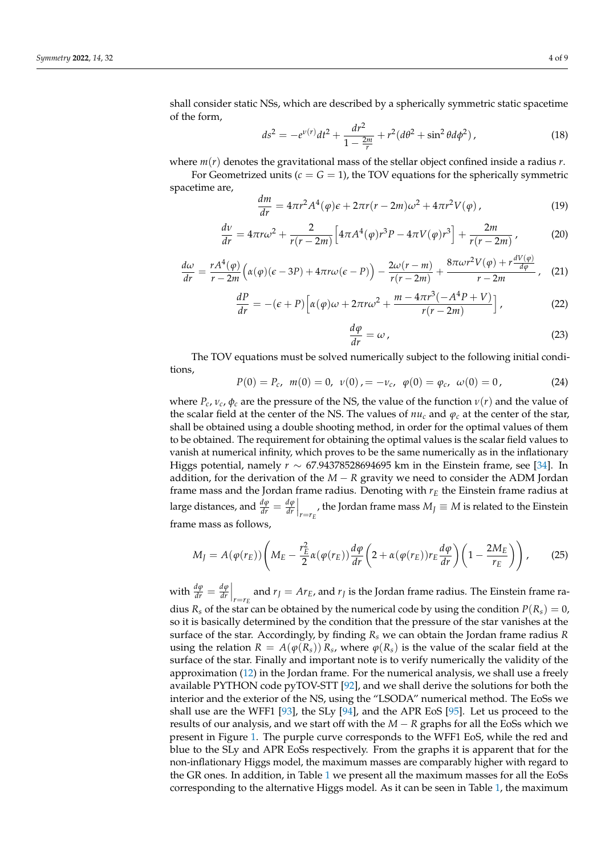shall consider static NSs, which are described by a spherically symmetric static spacetime of the form,

$$
ds^{2} = -e^{\nu(r)}dt^{2} + \frac{dr^{2}}{1 - \frac{2m}{r}} + r^{2}(d\theta^{2} + \sin^{2}\theta d\phi^{2}),
$$
\n(18)

where *m*(*r*) denotes the gravitational mass of the stellar object confined inside a radius *r*.

For Geometrized units  $(c = G = 1)$ , the TOV equations for the spherically symmetric spacetime are,

$$
\frac{dm}{dr} = 4\pi r^2 A^4(\varphi)\varepsilon + 2\pi r(r - 2m)\omega^2 + 4\pi r^2 V(\varphi) \,,\tag{19}
$$

$$
\frac{dv}{dr} = 4\pi r\omega^2 + \frac{2}{r(r-2m)} \left[ 4\pi A^4(\varphi) r^3 P - 4\pi V(\varphi) r^3 \right] + \frac{2m}{r(r-2m)},
$$
(20)

$$
\frac{d\omega}{dr} = \frac{rA^4(\varphi)}{r - 2m} \left( \alpha(\varphi)(\epsilon - 3P) + 4\pi r\omega(\epsilon - P) \right) - \frac{2\omega(r - m)}{r(r - 2m)} + \frac{8\pi\omega r^2 V(\varphi) + r\frac{dV(\varphi)}{d\varphi}}{r - 2m}, \quad (21)
$$

$$
\frac{dP}{dr} = -(\epsilon + P) \left[ \alpha(\varphi)\omega + 2\pi r \omega^2 + \frac{m - 4\pi r^3(-A^4P + V)}{r(r - 2m)} \right],
$$
\n(22)

$$
\frac{d\varphi}{dr} = \omega \,,\tag{23}
$$

The TOV equations must be solved numerically subject to the following initial conditions,

$$
P(0) = P_c, \quad m(0) = 0, \quad \nu(0) = -\nu_c, \quad \varphi(0) = \varphi_c, \quad \omega(0) = 0, \tag{24}
$$

where  $P_c$ ,  $v_c$ ,  $\phi_c$  are the pressure of the NS, the value of the function  $v(r)$  and the value of the scalar field at the center of the NS. The values of  $nu_c$  and  $\varphi_c$  at the center of the star, shall be obtained using a double shooting method, in order for the optimal values of them to be obtained. The requirement for obtaining the optimal values is the scalar field values to vanish at numerical infinity, which proves to be the same numerically as in the inflationary Higgs potential, namely *r* ∼ 67.94378528694695 km in the Einstein frame, see [\[34\]](#page-6-4). In addition, for the derivation of the  $M - R$  gravity we need to consider the ADM Jordan frame mass and the Jordan frame radius. Denoting with *r<sup>E</sup>* the Einstein frame radius at large distances, and  $\frac{d\phi}{dr} = \frac{d\phi}{dr}$  $\left. \frac{d\varphi}{dr} \right|_{r=r_E}$ , the Jordan frame mass  $M_J \equiv M$  is related to the Einstein frame mass as follows,

$$
M_J = A(\varphi(r_E)) \left( M_E - \frac{r_E^2}{2} \alpha(\varphi(r_E)) \frac{d\varphi}{dr} \left( 2 + \alpha(\varphi(r_E)) r_E \frac{d\varphi}{dr} \right) \left( 1 - \frac{2M_E}{r_E} \right) \right), \tag{25}
$$

with  $\frac{d\varphi}{dr} = \frac{d\varphi}{dr}$  $\left. \frac{d\varphi}{dr} \right|_{r=r_E}$  and  $r_J = Ar_E$ , and  $r_J$  is the Jordan frame radius. The Einstein frame radius  $R_s$  of the star can be obtained by the numerical code by using the condition  $P(R_s) = 0$ , so it is basically determined by the condition that the pressure of the star vanishes at the surface of the star. Accordingly, by finding *R<sup>s</sup>* we can obtain the Jordan frame radius *R* using the relation  $R = A(\varphi(R_s)) R_s$ , where  $\varphi(R_s)$  is the value of the scalar field at the surface of the star. Finally and important note is to verify numerically the validity of the approximation [\(12\)](#page-2-0) in the Jordan frame. For the numerical analysis, we shall use a freely available PYTHON code pyTOV-STT [\[92\]](#page-8-10), and we shall derive the solutions for both the interior and the exterior of the NS, using the "LSODA" numerical method. The EoSs we shall use are the WFF1 [\[93\]](#page-8-11), the SLy [\[94\]](#page-8-12), and the APR EoS [\[95\]](#page-8-13). Let us proceed to the results of our analysis, and we start off with the *M* − *R* graphs for all the EoSs which we present in Figure [1.](#page-4-0) The purple curve corresponds to the WFF1 EoS, while the red and blue to the SLy and APR EoSs respectively. From the graphs it is apparent that for the non-inflationary Higgs model, the maximum masses are comparably higher with regard to the GR ones. In addition, in Table [1](#page-4-1) we present all the maximum masses for all the EoSs corresponding to the alternative Higgs model. As it can be seen in Table [1,](#page-4-1) the maximum

*dV*(*ϕ*)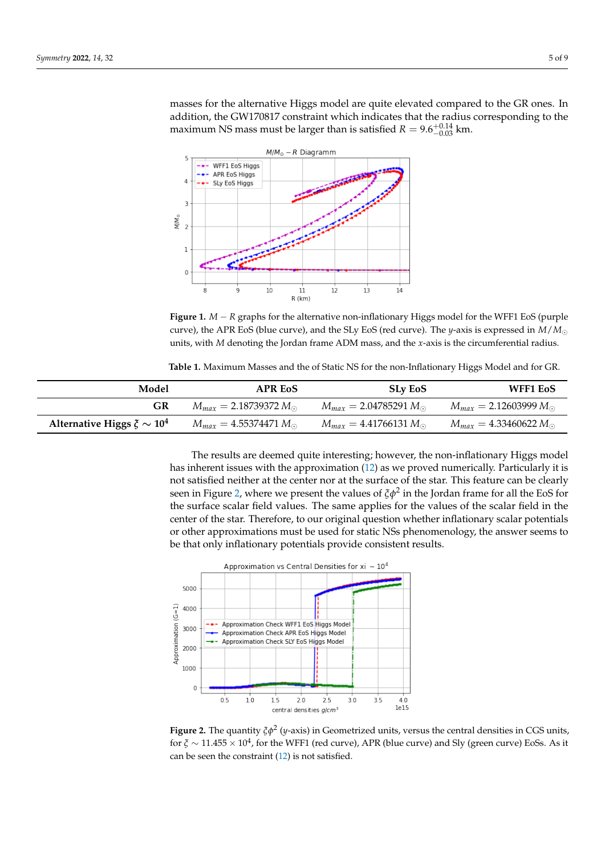masses for the alternative Higgs model are quite elevated compared to the GR ones. In addition, the GW170817 constraint which indicates that the radius corresponding to the maximum NS mass must be larger than is satisfied  $R = 9.6^{+0.14}_{-0.03}$  km.

<span id="page-4-0"></span>

**Figure 1.** *M* − *R* graphs for the alternative non-inflationary Higgs model for the WFF1 EoS (purple curve), the APR EoS (blue curve), and the SLy EoS (red curve). The *y*-axis is expressed in *M*/*M* units, with *M* denoting the Jordan frame ADM mass, and the *x*-axis is the circumferential radius.

**Table 1.** Maximum Masses and the of Static NS for the non-Inflationary Higgs Model and for GR.

<span id="page-4-1"></span>

| Model                             | <b>APR EoS</b>                   | <b>SLy EoS</b>                   | WFF1 EoS                         |
|-----------------------------------|----------------------------------|----------------------------------|----------------------------------|
| GR                                | $M_{max} = 2.18739372 M_{\odot}$ | $M_{max} = 2.04785291 M_{\odot}$ | $M_{max} = 2.12603999 M_{\odot}$ |
| Alternative Higgs $\xi \sim 10^4$ | $M_{max} = 4.55374471 M_{\odot}$ | $M_{max} = 4.41766131 M_{\odot}$ | $M_{max} = 4.33460622 M_{\odot}$ |

The results are deemed quite interesting; however, the non-inflationary Higgs model has inherent issues with the approximation [\(12\)](#page-2-0) as we proved numerically. Particularly it is not satisfied neither at the center nor at the surface of the star. This feature can be clearly seen in Figure [2,](#page-4-2) where we present the values of *ξφ*<sup>2</sup> in the Jordan frame for all the EoS for the surface scalar field values. The same applies for the values of the scalar field in the center of the star. Therefore, to our original question whether inflationary scalar potentials or other approximations must be used for static NSs phenomenology, the answer seems to be that only inflationary potentials provide consistent results.

<span id="page-4-2"></span>

**Figure 2.** The quantity *ξφ*<sup>2</sup> (*y*-axis) in Geometrized units, versus the central densities in CGS units, for  $\xi \sim 11.455 \times 10^4$ , for the WFF1 (red curve), APR (blue curve) and Sly (green curve) EoSs. As it can be seen the constraint [\(12\)](#page-2-0) is not satisfied.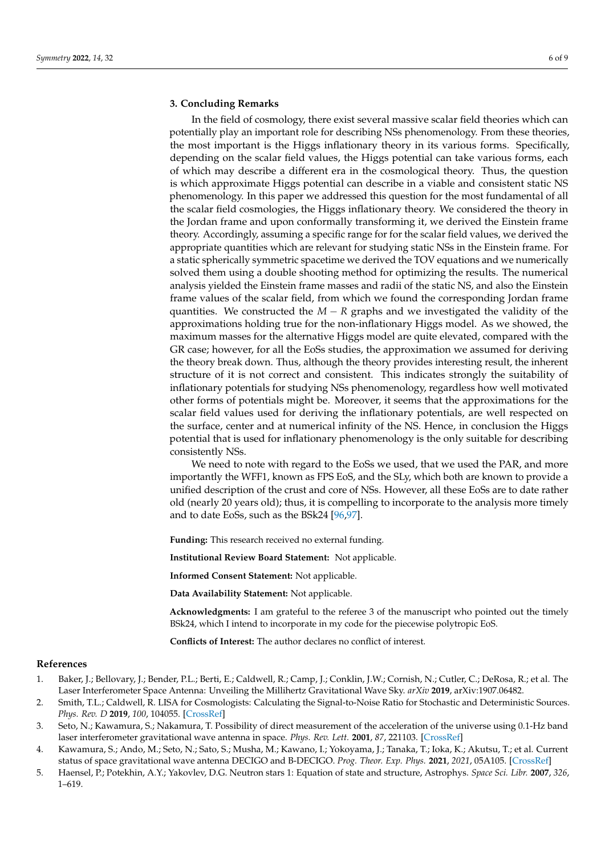## **3. Concluding Remarks**

In the field of cosmology, there exist several massive scalar field theories which can potentially play an important role for describing NSs phenomenology. From these theories, the most important is the Higgs inflationary theory in its various forms. Specifically, depending on the scalar field values, the Higgs potential can take various forms, each of which may describe a different era in the cosmological theory. Thus, the question is which approximate Higgs potential can describe in a viable and consistent static NS phenomenology. In this paper we addressed this question for the most fundamental of all the scalar field cosmologies, the Higgs inflationary theory. We considered the theory in the Jordan frame and upon conformally transforming it, we derived the Einstein frame theory. Accordingly, assuming a specific range for for the scalar field values, we derived the appropriate quantities which are relevant for studying static NSs in the Einstein frame. For a static spherically symmetric spacetime we derived the TOV equations and we numerically solved them using a double shooting method for optimizing the results. The numerical analysis yielded the Einstein frame masses and radii of the static NS, and also the Einstein frame values of the scalar field, from which we found the corresponding Jordan frame quantities. We constructed the *M* − *R* graphs and we investigated the validity of the approximations holding true for the non-inflationary Higgs model. As we showed, the maximum masses for the alternative Higgs model are quite elevated, compared with the GR case; however, for all the EoSs studies, the approximation we assumed for deriving the theory break down. Thus, although the theory provides interesting result, the inherent structure of it is not correct and consistent. This indicates strongly the suitability of inflationary potentials for studying NSs phenomenology, regardless how well motivated other forms of potentials might be. Moreover, it seems that the approximations for the scalar field values used for deriving the inflationary potentials, are well respected on the surface, center and at numerical infinity of the NS. Hence, in conclusion the Higgs potential that is used for inflationary phenomenology is the only suitable for describing consistently NSs.

We need to note with regard to the EoSs we used, that we used the PAR, and more importantly the WFF1, known as FPS EoS, and the SLy, which both are known to provide a unified description of the crust and core of NSs. However, all these EoSs are to date rather old (nearly 20 years old); thus, it is compelling to incorporate to the analysis more timely and to date EoSs, such as the BSk24 [\[96](#page-8-14)[,97\]](#page-8-15).

**Funding:** This research received no external funding.

**Institutional Review Board Statement:** Not applicable.

**Informed Consent Statement:** Not applicable.

**Data Availability Statement:** Not applicable.

**Acknowledgments:** I am grateful to the referee 3 of the manuscript who pointed out the timely BSk24, which I intend to incorporate in my code for the piecewise polytropic EoS.

**Conflicts of Interest:** The author declares no conflict of interest.

#### **References**

- <span id="page-5-0"></span>1. Baker, J.; Bellovary, J.; Bender, P.L.; Berti, E.; Caldwell, R.; Camp, J.; Conklin, J.W.; Cornish, N.; Cutler, C.; DeRosa, R.; et al. The Laser Interferometer Space Antenna: Unveiling the Millihertz Gravitational Wave Sky. *arXiv* **2019**, arXiv:1907.06482.
- <span id="page-5-1"></span>2. Smith, T.L.; Caldwell, R. LISA for Cosmologists: Calculating the Signal-to-Noise Ratio for Stochastic and Deterministic Sources. *Phys. Rev. D* **2019**, *100*, 104055. [\[CrossRef\]](http://doi.org/10.1103/PhysRevD.100.104055)
- <span id="page-5-2"></span>3. Seto, N.; Kawamura, S.; Nakamura, T. Possibility of direct measurement of the acceleration of the universe using 0.1-Hz band laser interferometer gravitational wave antenna in space. *Phys. Rev. Lett.* **2001**, *87*, 221103. [\[CrossRef\]](http://dx.doi.org/10.1103/PhysRevLett.87.221103)
- <span id="page-5-3"></span>4. Kawamura, S.; Ando, M.; Seto, N.; Sato, S.; Musha, M.; Kawano, I.; Yokoyama, J.; Tanaka, T.; Ioka, K.; Akutsu, T.; et al. Current status of space gravitational wave antenna DECIGO and B-DECIGO. *Prog. Theor. Exp. Phys.* **2021**, *2021*, 05A105. [\[CrossRef\]](http://dx.doi.org/10.1093/ptep/ptab019)
- <span id="page-5-4"></span>5. Haensel, P.; Potekhin, A.Y.; Yakovlev, D.G. Neutron stars 1: Equation of state and structure, Astrophys. *Space Sci. Libr.* **2007**, *326*, 1–619.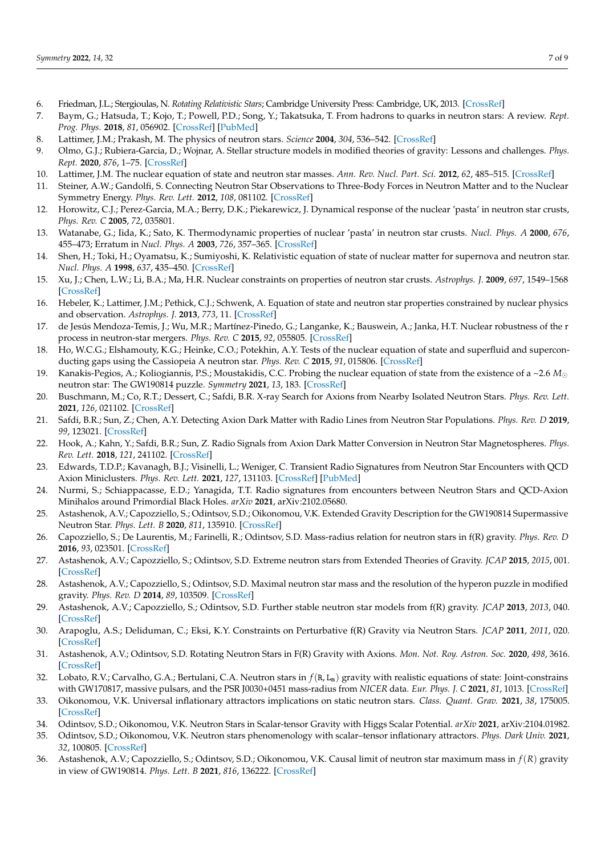- 6. Friedman, J.L.; Stergioulas, N. *Rotating Relativistic Stars*; Cambridge University Press: Cambridge, UK, 2013. [\[CrossRef\]](http://dx.doi.org/10.1017/CBO9780511977596)
- 7. Baym, G.; Hatsuda, T.; Kojo, T.; Powell, P.D.; Song, Y.; Takatsuka, T. From hadrons to quarks in neutron stars: A review. *Rept. Prog. Phys.* **2018**, *81*, 056902. [\[CrossRef\]](http://dx.doi.org/10.1088/1361-6633/aaae14) [\[PubMed\]](http://www.ncbi.nlm.nih.gov/pubmed/29424363)
- 8. Lattimer, J.M.; Prakash, M. The physics of neutron stars. *Science* **2004**, *304*, 536–542. [\[CrossRef\]](http://dx.doi.org/10.1126/science.1090720)
- <span id="page-6-0"></span>9. Olmo, G.J.; Rubiera-Garcia, D.; Wojnar, A. Stellar structure models in modified theories of gravity: Lessons and challenges. *Phys. Rept.* **2020**, *876*, 1–75. [\[CrossRef\]](http://dx.doi.org/10.1016/j.physrep.2020.07.001)
- <span id="page-6-1"></span>10. Lattimer, J.M. The nuclear equation of state and neutron star masses. *Ann. Rev. Nucl. Part. Sci.* **2012**, *62*, 485–515. [\[CrossRef\]](http://dx.doi.org/10.1146/annurev-nucl-102711-095018)
- 11. Steiner, A.W.; Gandolfi, S. Connecting Neutron Star Observations to Three-Body Forces in Neutron Matter and to the Nuclear Symmetry Energy. *Phys. Rev. Lett.* **2012**, *108*, 081102. [\[CrossRef\]](http://dx.doi.org/10.1103/PhysRevLett.108.081102)
- 12. Horowitz, C.J.; Perez-Garcia, M.A.; Berry, D.K.; Piekarewicz, J. Dynamical response of the nuclear 'pasta' in neutron star crusts, *Phys. Rev. C* **2005**, *72*, 035801.
- 13. Watanabe, G.; Iida, K.; Sato, K. Thermodynamic properties of nuclear 'pasta' in neutron star crusts. *Nucl. Phys. A* **2000**, *676*, 455–473; Erratum in *Nucl. Phys. A* **2003**, *726*, 357–365. [\[CrossRef\]](http://dx.doi.org/10.1016/S0375-9474(00)00197-4)
- 14. Shen, H.; Toki, H.; Oyamatsu, K.; Sumiyoshi, K. Relativistic equation of state of nuclear matter for supernova and neutron star. *Nucl. Phys. A* **1998**, *637*, 435–450. [\[CrossRef\]](http://dx.doi.org/10.1016/S0375-9474(98)00236-X)
- 15. Xu, J.; Chen, L.W.; Li, B.A.; Ma, H.R. Nuclear constraints on properties of neutron star crusts. *Astrophys. J.* **2009**, *697*, 1549–1568 [\[CrossRef\]](http://dx.doi.org/10.1088/0004-637X/697/2/1549)
- 16. Hebeler, K.; Lattimer, J.M.; Pethick, C.J.; Schwenk, A. Equation of state and neutron star properties constrained by nuclear physics and observation. *Astrophys. J.* **2013**, *773*, 11. [\[CrossRef\]](http://dx.doi.org/10.1088/0004-637X/773/1/11)
- 17. de Jesús Mendoza-Temis, J.; Wu, M.R.; Martínez-Pinedo, G.; Langanke, K.; Bauswein, A.; Janka, H.T. Nuclear robustness of the r process in neutron-star mergers. *Phys. Rev. C* **2015**, *92*, 055805. [\[CrossRef\]](http://dx.doi.org/10.1103/PhysRevC.92.055805)
- 18. Ho, W.C.G.; Elshamouty, K.G.; Heinke, C.O.; Potekhin, A.Y. Tests of the nuclear equation of state and superfluid and superconducting gaps using the Cassiopeia A neutron star. *Phys. Rev. C* **2015**, *91*, 015806. [\[CrossRef\]](http://dx.doi.org/10.1103/PhysRevC.91.015806)
- 19. Kanakis-Pegios, A.; Koliogiannis, P.S.; Moustakidis, C.C. Probing the nuclear equation of state from the existence of a ~2.6 *M* neutron star: The GW190814 puzzle. *Symmetry* **2021**, *13*, 183. [\[CrossRef\]](http://dx.doi.org/10.3390/sym13020183)
- 20. Buschmann, M.; Co, R.T.; Dessert, C.; Safdi, B.R. X-ray Search for Axions from Nearby Isolated Neutron Stars. *Phys. Rev. Lett.* **2021**, *126*, 021102. [\[CrossRef\]](http://dx.doi.org/10.1103/PhysRevLett.126.021102)
- 21. Safdi, B.R.; Sun, Z.; Chen, A.Y. Detecting Axion Dark Matter with Radio Lines from Neutron Star Populations. *Phys. Rev. D* **2019**, *99*, 123021. [\[CrossRef\]](http://dx.doi.org/10.1103/PhysRevD.99.123021)
- 22. Hook, A.; Kahn, Y.; Safdi, B.R.; Sun, Z. Radio Signals from Axion Dark Matter Conversion in Neutron Star Magnetospheres. *Phys. Rev. Lett.* **2018**, *121*, 241102. [\[CrossRef\]](http://dx.doi.org/10.1103/PhysRevLett.121.241102)
- 23. Edwards, T.D.P.; Kavanagh, B.J.; Visinelli, L.; Weniger, C. Transient Radio Signatures from Neutron Star Encounters with QCD Axion Miniclusters. *Phys. Rev. Lett.* **2021**, *127*, 131103. [\[CrossRef\]](http://dx.doi.org/10.1103/PhysRevLett.127.131103) [\[PubMed\]](http://www.ncbi.nlm.nih.gov/pubmed/34623827)
- <span id="page-6-2"></span>24. Nurmi, S.; Schiappacasse, E.D.; Yanagida, T.T. Radio signatures from encounters between Neutron Stars and QCD-Axion Minihalos around Primordial Black Holes. *arXiv* **2021**, arXiv:2102.05680.
- <span id="page-6-3"></span>25. Astashenok, A.V.; Capozziello, S.; Odintsov, S.D.; Oikonomou, V.K. Extended Gravity Description for the GW190814 Supermassive Neutron Star. *Phys. Lett. B* **2020**, *811*, 135910. [\[CrossRef\]](http://dx.doi.org/10.1016/j.physletb.2020.135910)
- 26. Capozziello, S.; De Laurentis, M.; Farinelli, R.; Odintsov, S.D. Mass-radius relation for neutron stars in f(R) gravity. *Phys. Rev. D* **2016**, *93*, 023501. [\[CrossRef\]](http://dx.doi.org/10.1103/PhysRevD.93.023501)
- 27. Astashenok, A.V.; Capozziello, S.; Odintsov, S.D. Extreme neutron stars from Extended Theories of Gravity. *JCAP* **2015**, *2015*, 001. [\[CrossRef\]](http://dx.doi.org/10.1088/1475-7516/2015/01/001)
- 28. Astashenok, A.V.; Capozziello, S.; Odintsov, S.D. Maximal neutron star mass and the resolution of the hyperon puzzle in modified gravity. *Phys. Rev. D* **2014**, *89*, 103509. [\[CrossRef\]](http://dx.doi.org/10.1103/PhysRevD.89.103509)
- 29. Astashenok, A.V.; Capozziello, S.; Odintsov, S.D. Further stable neutron star models from f(R) gravity. *JCAP* **2013**, *2013*, 040. [\[CrossRef\]](http://dx.doi.org/10.1088/1475-7516/2013/12/040)
- 30. Arapoglu, A.S.; Deliduman, C.; Eksi, K.Y. Constraints on Perturbative f(R) Gravity via Neutron Stars. *JCAP* **2011**, *2011*, 020. [\[CrossRef\]](http://dx.doi.org/10.1088/1475-7516/2011/07/020)
- 31. Astashenok, A.V.; Odintsov, S.D. Rotating Neutron Stars in F(R) Gravity with Axions. *Mon. Not. Roy. Astron. Soc.* **2020**, *498*, 3616. [\[CrossRef\]](http://dx.doi.org/10.1093/mnras/staa2630)
- 32. Lobato, R.V.; Carvalho, G.A.; Bertulani, C.A. Neutron stars in  $f(R, L_m)$  gravity with realistic equations of state: Joint-constrains with GW170817, massive pulsars, and the PSR J0030+0451 mass-radius from *NICER* data. *Eur. Phys. J. C* **2021**, *81*, 1013. [\[CrossRef\]](http://dx.doi.org/10.1140/epjc/s10052-021-09785-3)
- 33. Oikonomou, V.K. Universal inflationary attractors implications on static neutron stars. *Class. Quant. Grav.* **2021**, *38*, 175005. [\[CrossRef\]](http://dx.doi.org/10.1088/1361-6382/ac161c)
- <span id="page-6-4"></span>34. Odintsov, S.D.; Oikonomou, V.K. Neutron Stars in Scalar-tensor Gravity with Higgs Scalar Potential. *arXiv* **2021**, arXiv:2104.01982.
- 35. Odintsov, S.D.; Oikonomou, V.K. Neutron stars phenomenology with scalar–tensor inflationary attractors. *Phys. Dark Univ.* **2021**, *32*, 100805. [\[CrossRef\]](http://dx.doi.org/10.1016/j.dark.2021.100805)
- 36. Astashenok, A.V.; Capozziello, S.; Odintsov, S.D.; Oikonomou, V.K. Causal limit of neutron star maximum mass in *f*(*R*) gravity in view of GW190814. *Phys. Lett. B* **2021**, *816*, 136222. [\[CrossRef\]](http://dx.doi.org/10.1016/j.physletb.2021.136222)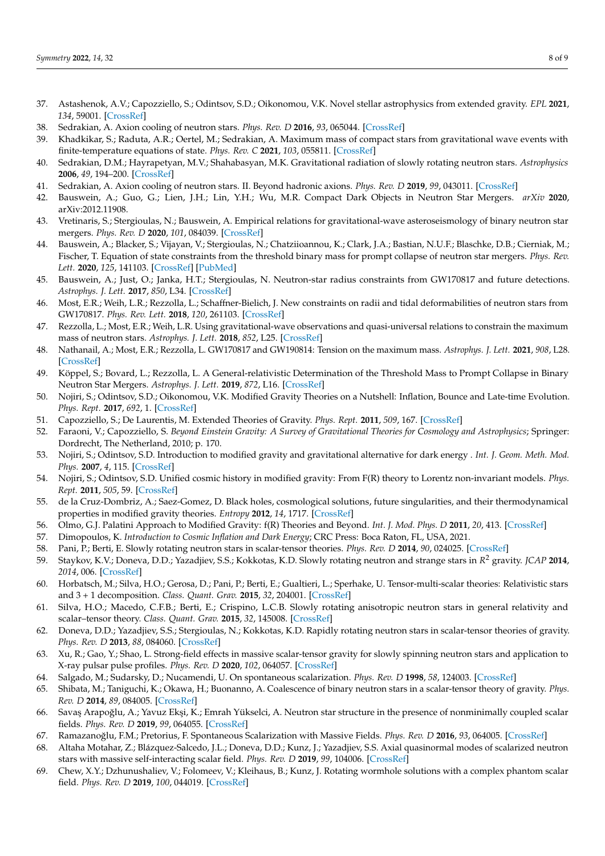- <span id="page-7-0"></span>37. Astashenok, A.V.; Capozziello, S.; Odintsov, S.D.; Oikonomou, V.K. Novel stellar astrophysics from extended gravity. *EPL* **2021**, *134*, 59001. [\[CrossRef\]](http://dx.doi.org/10.1209/0295-5075/134/59001)
- <span id="page-7-1"></span>38. Sedrakian, A. Axion cooling of neutron stars. *Phys. Rev. D* **2016**, *93*, 065044. [\[CrossRef\]](http://dx.doi.org/10.1103/PhysRevD.93.065044)
- 39. Khadkikar, S.; Raduta, A.R.; Oertel, M.; Sedrakian, A. Maximum mass of compact stars from gravitational wave events with finite-temperature equations of state. *Phys. Rev. C* **2021**, *103*, 055811. [\[CrossRef\]](http://dx.doi.org/10.1103/PhysRevC.103.055811)
- 40. Sedrakian, D.M.; Hayrapetyan, M.V.; Shahabasyan, M.K. Gravitational radiation of slowly rotating neutron stars. *Astrophysics* **2006**, *49*, 194–200. [\[CrossRef\]](http://dx.doi.org/10.1007/s10511-006-0020-4)
- 41. Sedrakian, A. Axion cooling of neutron stars. II. Beyond hadronic axions. *Phys. Rev. D* **2019**, *99*, 043011. [\[CrossRef\]](http://dx.doi.org/10.1103/PhysRevD.99.043011)
- 42. Bauswein, A.; Guo, G.; Lien, J.H.; Lin, Y.H.; Wu, M.R. Compact Dark Objects in Neutron Star Mergers. *arXiv* **2020**, arXiv:2012.11908.
- 43. Vretinaris, S.; Stergioulas, N.; Bauswein, A. Empirical relations for gravitational-wave asteroseismology of binary neutron star mergers. *Phys. Rev. D* **2020**, *101*, 084039. [\[CrossRef\]](http://dx.doi.org/10.1103/PhysRevD.101.084039)
- 44. Bauswein, A.; Blacker, S.; Vijayan, V.; Stergioulas, N.; Chatziioannou, K.; Clark, J.A.; Bastian, N.U.F.; Blaschke, D.B.; Cierniak, M.; Fischer, T. Equation of state constraints from the threshold binary mass for prompt collapse of neutron star mergers. *Phys. Rev. Lett.* **2020**, *125*, 141103. [\[CrossRef\]](http://dx.doi.org/10.1103/PhysRevLett.125.141103) [\[PubMed\]](http://www.ncbi.nlm.nih.gov/pubmed/33064526)
- 45. Bauswein, A.; Just, O.; Janka, H.T.; Stergioulas, N. Neutron-star radius constraints from GW170817 and future detections. *Astrophys. J. Lett.* **2017**, *850*, L34. [\[CrossRef\]](http://dx.doi.org/10.3847/2041-8213/aa9994)
- 46. Most, E.R.; Weih, L.R.; Rezzolla, L.; Schaffner-Bielich, J. New constraints on radii and tidal deformabilities of neutron stars from GW170817. *Phys. Rev. Lett.* **2018**, *120*, 261103. [\[CrossRef\]](http://dx.doi.org/10.1103/PhysRevLett.120.261103)
- 47. Rezzolla, L.; Most, E.R.; Weih, L.R. Using gravitational-wave observations and quasi-universal relations to constrain the maximum mass of neutron stars. *Astrophys. J. Lett.* **2018**, *852*, L25. [\[CrossRef\]](http://dx.doi.org/10.3847/2041-8213/aaa401)
- 48. Nathanail, A.; Most, E.R.; Rezzolla, L. GW170817 and GW190814: Tension on the maximum mass. *Astrophys. J. Lett.* **2021**, *908*, L28. [\[CrossRef\]](http://dx.doi.org/10.3847/2041-8213/abdfc6)
- <span id="page-7-2"></span>49. Köppel, S.; Bovard, L.; Rezzolla, L. A General-relativistic Determination of the Threshold Mass to Prompt Collapse in Binary Neutron Star Mergers. *Astrophys. J. Lett.* **2019**, *872*, L16. [\[CrossRef\]](http://dx.doi.org/10.3847/2041-8213/ab0210)
- <span id="page-7-3"></span>50. Nojiri, S.; Odintsov, S.D.; Oikonomou, V.K. Modified Gravity Theories on a Nutshell: Inflation, Bounce and Late-time Evolution. *Phys. Rept.* **2017**, *692*, 1. [\[CrossRef\]](http://dx.doi.org/10.1016/j.physrep.2017.06.001)
- 51. Capozziello, S.; De Laurentis, M. Extended Theories of Gravity. *Phys. Rept.* **2011**, *509*, 167. [\[CrossRef\]](http://dx.doi.org/10.1016/j.physrep.2011.09.003)
- 52. Faraoni, V.; Capozziello, S. *Beyond Einstein Gravity: A Survey of Gravitational Theories for Cosmology and Astrophysics*; Springer: Dordrecht, The Netherland, 2010; p. 170.
- 53. Nojiri, S.; Odintsov, S.D. Introduction to modified gravity and gravitational alternative for dark energy . *Int. J. Geom. Meth. Mod. Phys.* **2007**, *4*, 115. [\[CrossRef\]](http://dx.doi.org/10.1142/S0219887807001928)
- 54. Nojiri, S.; Odintsov, S.D. Unified cosmic history in modified gravity: From F(R) theory to Lorentz non-invariant models. *Phys. Rept.* **2011**, *505*, 59. [\[CrossRef\]](http://dx.doi.org/10.1016/j.physrep.2011.04.001)
- 55. de la Cruz-Dombriz, A.; Saez-Gomez, D. Black holes, cosmological solutions, future singularities, and their thermodynamical properties in modified gravity theories. *Entropy* **2012**, *14*, 1717. [\[CrossRef\]](http://dx.doi.org/10.3390/e14091717)
- 56. Olmo, G.J. Palatini Approach to Modified Gravity: f(R) Theories and Beyond. *Int. J. Mod. Phys. D* **2011**, *20*, 413. [\[CrossRef\]](http://dx.doi.org/10.1142/S0218271811018925)
- <span id="page-7-4"></span>57. Dimopoulos, K. *Introduction to Cosmic Inflation and Dark Energy*; CRC Press: Boca Raton, FL, USA, 2021.
- <span id="page-7-5"></span>58. Pani, P.; Berti, E. Slowly rotating neutron stars in scalar-tensor theories. *Phys. Rev. D* **2014**, *90*, 024025. [\[CrossRef\]](http://dx.doi.org/10.1103/PhysRevD.90.024025)
- 59. Staykov, K.V.; Doneva, D.D.; Yazadjiev, S.S.; Kokkotas, K.D. Slowly rotating neutron and strange stars in *R* <sup>2</sup> gravity. *JCAP* **2014**, *2014*, 006. [\[CrossRef\]](http://dx.doi.org/10.1088/1475-7516/2014/10/006)
- 60. Horbatsch, M.; Silva, H.O.; Gerosa, D.; Pani, P.; Berti, E.; Gualtieri, L.; Sperhake, U. Tensor-multi-scalar theories: Relativistic stars and 3 + 1 decomposition. *Class. Quant. Grav.* **2015**, *32*, 204001. [\[CrossRef\]](http://dx.doi.org/10.1088/0264-9381/32/20/204001)
- 61. Silva, H.O.; Macedo, C.F.B.; Berti, E.; Crispino, L.C.B. Slowly rotating anisotropic neutron stars in general relativity and scalar–tensor theory. *Class. Quant. Grav.* **2015**, *32*, 145008. [\[CrossRef\]](http://dx.doi.org/10.1088/0264-9381/32/14/145008)
- 62. Doneva, D.D.; Yazadjiev, S.S.; Stergioulas, N.; Kokkotas, K.D. Rapidly rotating neutron stars in scalar-tensor theories of gravity. *Phys. Rev. D* **2013**, *88*, 084060. [\[CrossRef\]](http://dx.doi.org/10.1103/PhysRevD.88.084060)
- 63. Xu, R.; Gao, Y.; Shao, L. Strong-field effects in massive scalar-tensor gravity for slowly spinning neutron stars and application to X-ray pulsar pulse profiles. *Phys. Rev. D* **2020**, *102*, 064057. [\[CrossRef\]](http://dx.doi.org/10.1103/PhysRevD.102.064057)
- 64. Salgado, M.; Sudarsky, D.; Nucamendi, U. On spontaneous scalarization. *Phys. Rev. D* **1998**, *58*, 124003. [\[CrossRef\]](http://dx.doi.org/10.1103/PhysRevD.58.124003)
- 65. Shibata, M.; Taniguchi, K.; Okawa, H.; Buonanno, A. Coalescence of binary neutron stars in a scalar-tensor theory of gravity. *Phys. Rev. D* **2014**, *89*, 084005. [\[CrossRef\]](http://dx.doi.org/10.1103/PhysRevD.89.084005)
- 66. Savaş Arapoğlu, A.; Yavuz Ekşi, K.; Emrah Yükselci, A. Neutron star structure in the presence of nonminimally coupled scalar fields. *Phys. Rev. D* **2019**, *99*, 064055. [\[CrossRef\]](http://dx.doi.org/10.1103/PhysRevD.99.064055)
- 67. Ramazanoğlu, F.M.; Pretorius, F. Spontaneous Scalarization with Massive Fields. Phys. Rev. D 2016, 93, 064005. [\[CrossRef\]](http://dx.doi.org/10.1103/PhysRevD.93.064005)
- 68. Altaha Motahar, Z.; Blázquez-Salcedo, J.L.; Doneva, D.D.; Kunz, J.; Yazadjiev, S.S. Axial quasinormal modes of scalarized neutron stars with massive self-interacting scalar field. *Phys. Rev. D* **2019**, *99*, 104006. [\[CrossRef\]](http://dx.doi.org/10.1103/PhysRevD.99.104006)
- 69. Chew, X.Y.; Dzhunushaliev, V.; Folomeev, V.; Kleihaus, B.; Kunz, J. Rotating wormhole solutions with a complex phantom scalar field. *Phys. Rev. D* **2019**, *100*, 044019. [\[CrossRef\]](http://dx.doi.org/10.1103/PhysRevD.100.044019)